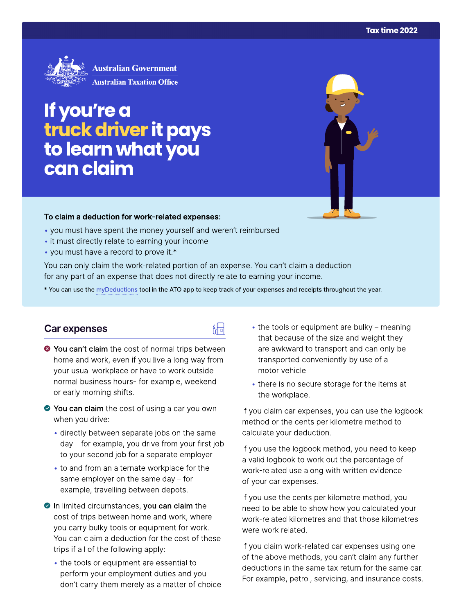

# If you're a truck driver it pays<br>to learn what you can claim

#### To claim a deduction for work-related expenses:

- you must have spent the money yourself and weren't reimbursed
- it must directly relate to earning your income
- you must have a record to prove it.\*

You can only claim the work-related portion of an expense. You can't claim a deduction for any part of an expense that does not directly relate to earning your income.

\* You can use the myDeductions tool in the ATO app to keep track of your expenses and receipts throughout the year.

品

#### **Car expenses**

- <sup>●</sup> You can't claim the cost of normal trips between home and work, even if you live a long way from your usual workplace or have to work outside normal business hours- for example, weekend or early morning shifts.
- ◆ You can claim the cost of using a car you own when you drive:
	- directly between separate jobs on the same day – for example, you drive from your first job to your second job for a separate employer
	- to and from an alternate workplace for the same employer on the same day  $-$  for example, travelling between depots.
- In limited circumstances, you can claim the cost of trips between home and work, where you carry bulky tools or equipment for work. You can claim a deduction for the cost of these trips if all of the following apply:
	- the tools or equipment are essential to perform your employment duties and you don't carry them merely as a matter of choice
- the tools or equipment are bulky meaning that because of the size and weight they are awkward to transport and can only be transported conveniently by use of a motor vehicle
- there is no secure storage for the items at the workplace.

If you claim car expenses, you can use the logbook method or the cents per kilometre method to calculate your deduction.

If you use the logbook method, you need to keep a valid logbook to work out the percentage of work-related use along with written evidence of your car expenses.

If you use the cents per kilometre method, you need to be able to show how you calculated your work-related kilometres and that those kilometres were work related.

If you claim work-related car expenses using one of the above methods, you can't claim any further deductions in the same tax return for the same car. For example, petrol, servicing, and insurance costs.